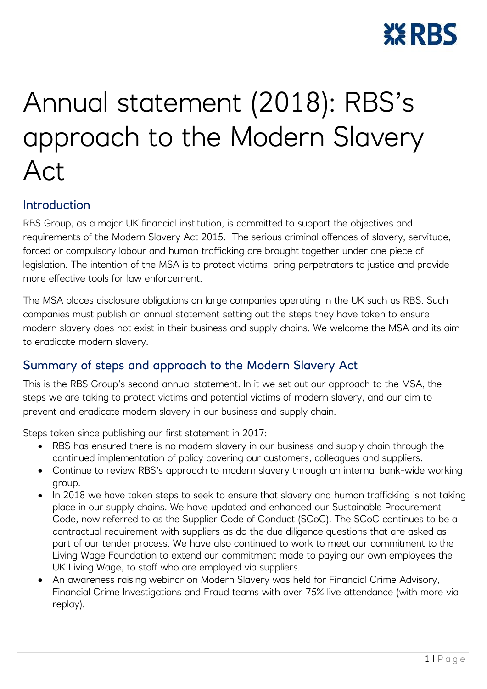

# Annual statement (2018): RBS's approach to the Modern Slavery Act

#### Introduction

RBS Group, as a major UK financial institution, is committed to support the objectives and requirements of the Modern Slavery Act 2015. The serious criminal offences of slavery, servitude, forced or compulsory labour and human trafficking are brought together under one piece of legislation. The intention of the MSA is to protect victims, bring perpetrators to justice and provide more effective tools for law enforcement.

The MSA places disclosure obligations on large companies operating in the UK such as RBS. Such companies must publish an annual statement setting out the steps they have taken to ensure modern slavery does not exist in their business and supply chains. We welcome the MSA and its aim to eradicate modern slavery.

# Summary of steps and approach to the Modern Slavery Act

This is the RBS Group's second annual statement. In it we set out our approach to the MSA, the steps we are taking to protect victims and potential victims of modern slavery, and our aim to prevent and eradicate modern slavery in our business and supply chain.

Steps taken since publishing our first statement in 2017:

- RBS has ensured there is no modern slavery in our business and supply chain through the continued implementation of policy covering our customers, colleagues and suppliers.
- Continue to review RBS's approach to modern slavery through an internal bank-wide working group.
- In 2018 we have taken steps to seek to ensure that slavery and human trafficking is not taking place in our supply chains. We have updated and enhanced our Sustainable Procurement Code, now referred to as the Supplier Code of Conduct (SCoC). The SCoC continues to be a contractual requirement with suppliers as do the due diligence questions that are asked as part of our tender process. We have also continued to work to meet our commitment to the Living Wage Foundation to extend our commitment made to paying our own employees the UK Living Wage, to staff who are employed via suppliers.
- An awareness raising webinar on Modern Slavery was held for Financial Crime Advisory, Financial Crime Investigations and Fraud teams with over 75% live attendance (with more via replay).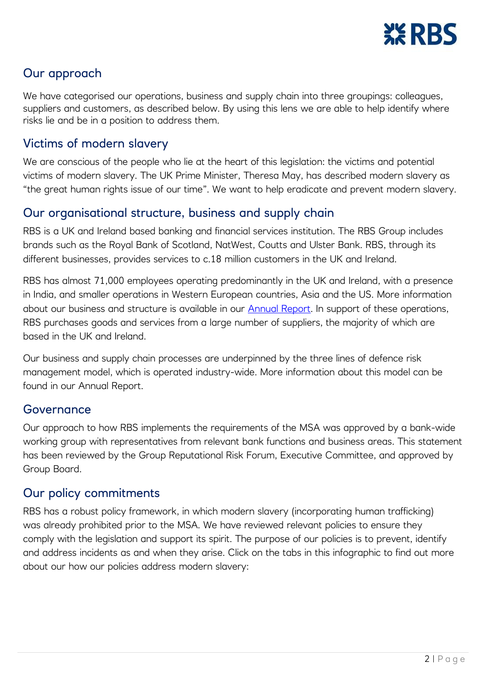

# Our approach

We have categorised our operations, business and supply chain into three groupings: colleagues, suppliers and customers, as described below. By using this lens we are able to help identify where risks lie and be in a position to address them.

## Victims of modern slavery

We are conscious of the people who lie at the heart of this legislation: the victims and potential victims of modern slavery. The UK Prime Minister, Theresa May, has described modern slavery as "the great human rights issue of our time". We want to help eradicate and prevent modern slavery.

### Our organisational structure, business and supply chain

RBS is a UK and Ireland based banking and financial services institution. The RBS Group includes brands such as the Royal Bank of Scotland, NatWest, Coutts and Ulster Bank. RBS, through its different businesses, provides services to c.18 million customers in the UK and Ireland.

RBS has almost 71,000 employees operating predominantly in the UK and Ireland, with a presence in India, and smaller operations in Western European countries, Asia and the US. More information about our business and structure is available in our [Annual Report.](https://www.rbs.com/content/dam/rbs_com/rbs/PDFs/Annual-report-2017.pdf) In support of these operations, RBS purchases goods and services from a large number of suppliers, the majority of which are based in the UK and Ireland.

Our business and supply chain processes are underpinned by the three lines of defence risk management model, which is operated industry-wide. More information about this model can be found in our Annual Report.

#### Governance

Our approach to how RBS implements the requirements of the MSA was approved by a bank-wide working group with representatives from relevant bank functions and business areas. This statement has been reviewed by the Group Reputational Risk Forum, Executive Committee, and approved by Group Board.

#### Our policy commitments

RBS has a robust policy framework, in which modern slavery (incorporating human trafficking) was already prohibited prior to the MSA. We have reviewed relevant policies to ensure they comply with the legislation and support its spirit. The purpose of our policies is to prevent, identify and address incidents as and when they arise. Click on the tabs in this infographic to find out more about our how our policies address modern slavery: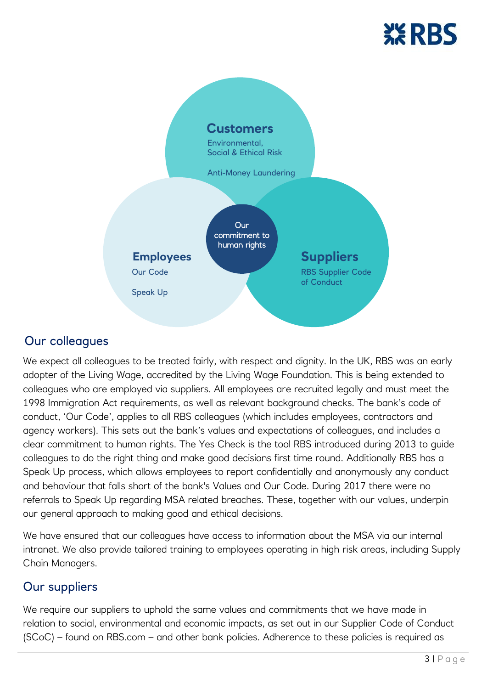



# Our colleagues

We expect all colleagues to be treated fairly, with respect and dignity. In the UK, RBS was an early adopter of the Living Wage, accredited by the Living Wage Foundation. This is being extended to colleagues who are employed via suppliers. All employees are recruited legally and must meet the 1998 Immigration Act requirements, as well as relevant background checks. The bank's code of conduct, 'Our Code', applies to all RBS colleagues (which includes employees, contractors and agency workers). This sets out the bank's values and expectations of colleagues, and includes a clear commitment to human rights. The Yes Check is the tool RBS introduced during 2013 to guide colleagues to do the right thing and make good decisions first time round. Additionally RBS has a Speak Up process, which allows employees to report confidentially and anonymously any conduct and behaviour that falls short of the bank's Values and Our Code. During 2017 there were no referrals to Speak Up regarding MSA related breaches. These, together with our values, underpin our general approach to making good and ethical decisions.

We have ensured that our colleagues have access to information about the MSA via our internal intranet. We also provide tailored training to employees operating in high risk areas, including Supply Chain Managers.

# Our suppliers

We require our suppliers to uphold the same values and commitments that we have made in relation to social, environmental and economic impacts, as set out in our Supplier Code of Conduct (SCoC) – found on RBS.com – and other bank policies. Adherence to these policies is required as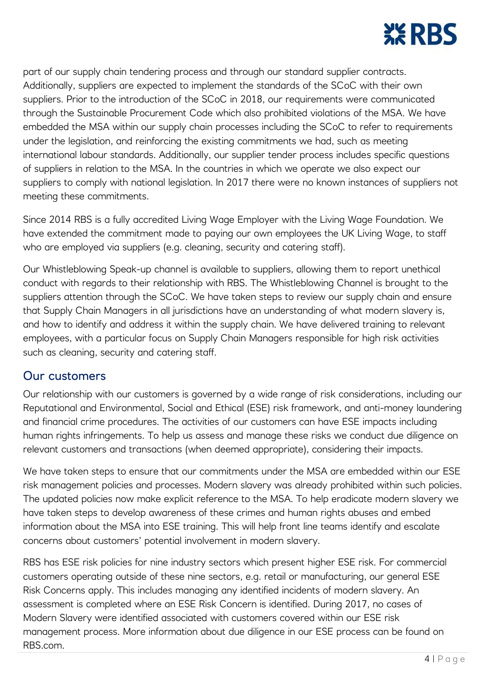

part of our supply chain tendering process and through our standard supplier contracts. Additionally, suppliers are expected to implement the standards of the SCoC with their own suppliers. Prior to the introduction of the SCoC in 2018, our requirements were communicated through the Sustainable Procurement Code which also prohibited violations of the MSA. We have embedded the MSA within our supply chain processes including the SCoC to refer to requirements under the legislation, and reinforcing the existing commitments we had, such as meeting international labour standards. Additionally, our supplier tender process includes specific questions of suppliers in relation to the MSA. In the countries in which we operate we also expect our suppliers to comply with national legislation. In 2017 there were no known instances of suppliers not meeting these commitments.

Since 2014 RBS is a fully accredited Living Wage Employer with the Living Wage Foundation. We have extended the commitment made to paying our own employees the UK Living Wage, to staff who are employed via suppliers (e.g. cleaning, security and catering staff).

Our Whistleblowing Speak-up channel is available to suppliers, allowing them to report unethical conduct with regards to their relationship with RBS. The Whistleblowing Channel is brought to the suppliers attention through the SCoC. We have taken steps to review our supply chain and ensure that Supply Chain Managers in all jurisdictions have an understanding of what modern slavery is, and how to identify and address it within the supply chain. We have delivered training to relevant employees, with a particular focus on Supply Chain Managers responsible for high risk activities such as cleaning, security and catering staff.

#### Our customers

Our relationship with our customers is governed by a wide range of risk considerations, including our Reputational and Environmental, Social and Ethical (ESE) risk framework, and anti-money laundering and financial crime procedures. The activities of our customers can have ESE impacts including human rights infringements. To help us assess and manage these risks we conduct due diligence on relevant customers and transactions (when deemed appropriate), considering their impacts.

We have taken steps to ensure that our commitments under the MSA are embedded within our ESE risk management policies and processes. Modern slavery was already prohibited within such policies. The updated policies now make explicit reference to the MSA. To help eradicate modern slavery we have taken steps to develop awareness of these crimes and human rights abuses and embed information about the MSA into ESE training. This will help front line teams identify and escalate concerns about customers' potential involvement in modern slavery.

RBS has ESE risk policies for nine industry sectors which present higher ESE risk. For commercial customers operating outside of these nine sectors, e.g. retail or manufacturing, our general ESE Risk Concerns apply. This includes managing any identified incidents of modern slavery. An assessment is completed where an ESE Risk Concern is identified. During 2017, no cases of Modern Slavery were identified associated with customers covered within our ESE risk management process. More information about due diligence in our ESE process can be found on RBS.com.